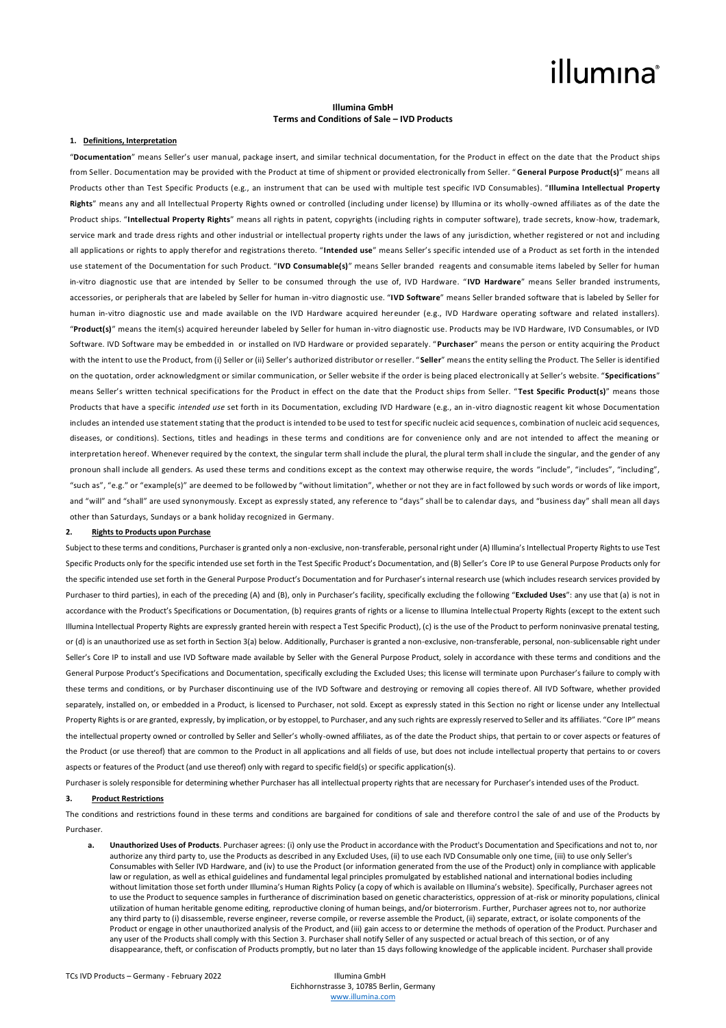## illumına

## **Illumina GmbH Terms and Conditions of Sale – IVD Products**

## **1. Definitions, Interpretation**

"**Documentation**" means Seller's user manual, package insert, and similar technical documentation, for the Product in effect on the date that the Product ships from Seller. Documentation may be provided with the Product at time of shipment or provided electronically from Seller. " **General Purpose Product(s)**" means all Products other than Test Specific Products (e.g., an instrument that can be used with multiple test specific IVD Consumables). "**Illumina Intellectual Property Rights**" means any and all Intellectual Property Rights owned or controlled (including under license) by Illumina or its wholly -owned affiliates as of the date the Product ships. "**Intellectual Property Rights**" means all rights in patent, copyrights (including rights in computer software), trade secrets, know-how, trademark, service mark and trade dress rights and other industrial or intellectual property rights under the laws of any jurisdiction, whether registered or not and including all applications or rights to apply therefor and registrations thereto. "**Intended use**" means Seller's specific intended use of a Product as set forth in the intended use statement of the Documentation for such Product. "**IVD Consumable(s)**" means Seller branded reagents and consumable items labeled by Seller for human in-vitro diagnostic use that are intended by Seller to be consumed through the use of, IVD Hardware. " **IVD Hardware**" means Seller branded instruments, accessories, or peripherals that are labeled by Seller for human in-vitro diagnostic use. "**IVD Software**" means Seller branded software that is labeled by Seller for human in-vitro diagnostic use and made available on the IVD Hardware acquired hereunder (e.g., IVD Hardware operating software and related installers). "**Product(s)**" means the item(s) acquired hereunder labeled by Seller for human in-vitro diagnostic use. Products may be IVD Hardware, IVD Consumables, or IVD Software. IVD Software may be embedded in or installed on IVD Hardware or provided separately. "**Purchaser**" means the person or entity acquiring the Product with the intent to use the Product, from (i) Seller or (ii) Seller's authorized distributor or reseller. "Seller" means the entity selling the Product. The Seller is identified on the quotation, order acknowledgment or similar communication, or Seller website if the order is being placed electronically at Seller's website. "**Specifications**" means Seller's written technical specifications for the Product in effect on the date that the Product ships from Seller. "**Test Specific Product(s)**" means those Products that have a specific *intended use* set forth in its Documentation, excluding IVD Hardware (e.g., an in-vitro diagnostic reagent kit whose Documentation includes an intended use statement stating that the product is intended to be used to test for specific nucleic acid sequences, combination of nucleic acid sequences, diseases, or conditions). Sections, titles and headings in these terms and conditions are for convenience only and are not intended to affect the meaning or interpretation hereof. Whenever required by the context, the singular term shall include the plural, the plural term shall include the singular, and the gender of any pronoun shall include all genders. As used these terms and conditions except as the context may otherwise require, the words "include", "includes", "including", "such as", "e.g." or "example(s)" are deemed to be followed by "without limitation", whether or not they are in fact followed by such words or words of like import, and "will" and "shall" are used synonymously. Except as expressly stated, any reference to "days" shall be to calendar days, and "business day" shall mean all days other than Saturdays, Sundays or a bank holiday recognized in Germany.

#### **2. Rights to Products upon Purchase**

Subject to these terms and conditions, Purchaser is granted only a non-exclusive, non-transferable, personal right under (A) Illumina's Intellectual Property Rights to use Test Specific Products only for the specific intended use set forth in the Test Specific Product's Documentation, and (B) Seller's Core IP to use General Purpose Products only for the specific intended use set forth in the General Purpose Product's Documentation and for Purchaser's internal research use (which includes research services provided by Purchaser to third parties), in each of the preceding (A) and (B), only in Purchaser's facility, specifically excluding the following "**Excluded Uses**": any use that (a) is not in accordance with the Product's Specifications or Documentation, (b) requires grants of rights or a license to Illumina Intellectual Property Rights (except to the extent such Illumina Intellectual Property Rights are expressly granted herein with respect a Test Specific Product), (c) is the use of the Product to perform noninvasive prenatal testing, or (d) is an unauthorized use as set forth in Section 3(a) below. Additionally, Purchaser is granted a non-exclusive, non-transferable, personal, non-sublicensable right under Seller's Core IP to install and use IVD Software made available by Seller with the General Purpose Product, solely in accordance with these terms and conditions and the General Purpose Product's Specifications and Documentation, specifically excluding the Excluded Uses; this license will terminate upon Purchaser's failure to comply with these terms and conditions, or by Purchaser discontinuing use of the IVD Software and destroying or removing all copies thereof. All IVD Software, whether provided separately, installed on, or embedded in a Product, is licensed to Purchaser, not sold. Except as expressly stated in this Section no right or license under any Intellectual Property Rights is or are granted, expressly, by implication, or by estoppel, to Purchaser, and any such rights are expressly reserved to Seller and its affiliates. "Core IP" means the intellectual property owned or controlled by Seller and Seller's wholly-owned affiliates, as of the date the Product ships, that pertain to or cover aspects or features of the Product (or use thereof) that are common to the Product in all applications and all fields of use, but does not include intellectual property that pertains to or covers aspects or features of the Product (and use thereof) only with regard to specific field(s) or specific application(s).

Purchaser is solely responsible for determining whether Purchaser has all intellectual property rights that are necessary for Purchaser's intended uses of the Product.

## **3. Product Restrictions**

The conditions and restrictions found in these terms and conditions are bargained for conditions of sale and therefore control the sale of and use of the Products by Purchaser.

**a. Unauthorized Uses of Products**. Purchaser agrees: (i) only use the Product in accordance with the Product's Documentation and Specifications and not to, nor authorize any third party to, use the Products as described in any Excluded Uses, (ii) to use each IVD Consumable only one time, (iii) to use only Seller's Consumables with Seller IVD Hardware, and (iv) to use the Product (or information generated from the use of the Product) only in compliance with applicable law or regulation, as well as ethical guidelines and fundamental legal principles promulgated by established national and international bodies including without limitation those set forth under Illumina's Human Rights Policy (a copy of which is available on Illumina's website). Specifically, Purchaser agrees not to use the Product to sequence samples in furtherance of discrimination based on genetic characteristics, oppression of at-risk or minority populations, clinical utilization of human heritable genome editing, reproductive cloning of human beings, and/or bioterrorism. Further, Purchaser agrees not to, nor authorize any third party to (i) disassemble, reverse engineer, reverse compile, or reverse assemble the Product, (ii) separate, extract, or isolate components of the Product or engage in other unauthorized analysis of the Product, and (iii) gain access to or determine the methods of operation of the Product. Purchaser and any user of the Products shall comply with this Section 3. Purchaser shall notify Seller of any suspected or actual breach of this section, or of any disappearance, theft, or confiscation of Products promptly, but no later than 15 days following knowledge of the applicable incident. Purchaser shall provide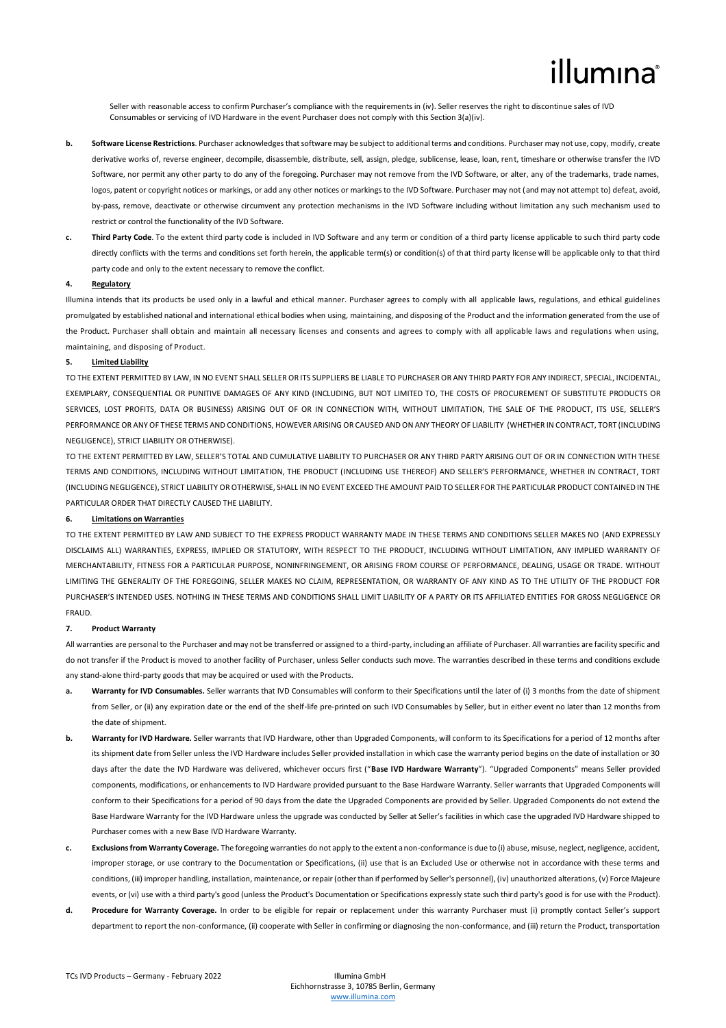## illumına

Seller with reasonable access to confirm Purchaser's compliance with the requirements in (iv). Seller reserves the right to discontinue sales of IVD Consumables or servicing of IVD Hardware in the event Purchaser does not comply with this Section 3(a)(iv).

- **b. Software License Restrictions**. Purchaser acknowledges that software may be subject to additional terms and conditions. Purchaser may not use, copy, modify, create derivative works of, reverse engineer, decompile, disassemble, distribute, sell, assign, pledge, sublicense, lease, loan, rent, timeshare or otherwise transfer the IVD Software, nor permit any other party to do any of the foregoing. Purchaser may not remove from the IVD Software, or alter, any of the trademarks, trade names, logos, patent or copyright notices or markings, or add any other notices or markings to the IVD Software. Purchaser may not (and may not attempt to) defeat, avoid, by-pass, remove, deactivate or otherwise circumvent any protection mechanisms in the IVD Software including without limitation any such mechanism used to restrict or control the functionality of the IVD Software.
- **c. Third Party Code**. To the extent third party code is included in IVD Software and any term or condition of a third party license applicable to such third party code directly conflicts with the terms and conditions set forth herein, the applicable term(s) or condition(s) of that third party license will be applicable only to that third party code and only to the extent necessary to remove the conflict.

## **4. Regulatory**

Illumina intends that its products be used only in a lawful and ethical manner. Purchaser agrees to comply with all applicable laws, regulations, and ethical guidelines promulgated by established national and international ethical bodies when using, maintaining, and disposing of the Product and the information generated from the use of the Product. Purchaser shall obtain and maintain all necessary licenses and consents and agrees to comply with all applicable laws and regulations when using, maintaining, and disposing of Product.

## **5. Limited Liability**

TO THE EXTENT PERMITTED BY LAW, IN NO EVENT SHALL SELLER OR ITS SUPPLIERS BE LIABLE TO PURCHASER OR ANY THIRD PARTY FOR ANY INDIRECT, SPECIAL, INCIDENTAL, EXEMPLARY, CONSEQUENTIAL OR PUNITIVE DAMAGES OF ANY KIND (INCLUDING, BUT NOT LIMITED TO, THE COSTS OF PROCUREMENT OF SUBSTITUTE PRODUCTS OR SERVICES, LOST PROFITS, DATA OR BUSINESS) ARISING OUT OF OR IN CONNECTION WITH, WITHOUT LIMITATION, THE SALE OF THE PRODUCT, ITS USE, SELLER'S PERFORMANCE OR ANY OF THESE TERMS AND CONDITIONS, HOWEVER ARISING OR CAUSED AND ON ANY THEORY OF LIABILITY (WHETHER IN CONTRACT, TORT (INCLUDING NEGLIGENCE), STRICT LIABILITY OR OTHERWISE).

TO THE EXTENT PERMITTED BY LAW, SELLER'S TOTAL AND CUMULATIVE LIABILITY TO PURCHASER OR ANY THIRD PARTY ARISING OUT OF OR IN CONNECTION WITH THESE TERMS AND CONDITIONS, INCLUDING WITHOUT LIMITATION, THE PRODUCT (INCLUDING USE THEREOF) AND SELLER'S PERFORMANCE, WHETHER IN CONTRACT, TORT (INCLUDING NEGLIGENCE), STRICT LIABILITY OR OTHERWISE, SHALL IN NO EVENT EXCEED THE AMOUNT PAID TO SELLER FOR THE PARTICULAR PRODUCT CONTAINED IN THE PARTICULAR ORDER THAT DIRECTLY CAUSED THE LIABILITY.

## **6. Limitations on Warranties**

TO THE EXTENT PERMITTED BY LAW AND SUBJECT TO THE EXPRESS PRODUCT WARRANTY MADE IN THESE TERMS AND CONDITIONS SELLER MAKES NO (AND EXPRESSLY DISCLAIMS ALL) WARRANTIES, EXPRESS, IMPLIED OR STATUTORY, WITH RESPECT TO THE PRODUCT, INCLUDING WITHOUT LIMITATION, ANY IMPLIED WARRANTY OF MERCHANTABILITY, FITNESS FOR A PARTICULAR PURPOSE, NONINFRINGEMENT, OR ARISING FROM COURSE OF PERFORMANCE, DEALING, USAGE OR TRADE, WITHOUT LIMITING THE GENERALITY OF THE FOREGOING, SELLER MAKES NO CLAIM, REPRESENTATION, OR WARRANTY OF ANY KIND AS TO THE UTILITY OF THE PRODUCT FOR PURCHASER'S INTENDED USES. NOTHING IN THESE TERMS AND CONDITIONS SHALL LIMIT LIABILITY OF A PARTY OR ITS AFFILIATED ENTITIES FOR GROSS NEGLIGENCE OR FRAUD.

#### **7. Product Warranty**

All warranties are personal to the Purchaser and may not be transferred or assigned to a third-party, including an affiliate of Purchaser. All warranties are facility specific and do not transfer if the Product is moved to another facility of Purchaser, unless Seller conducts such move. The warranties described in these terms and conditions exclude any stand-alone third-party goods that may be acquired or used with the Products.

- a. Warranty for IVD Consumables. Seller warrants that IVD Consumables will conform to their Specifications until the later of (i) 3 months from the date of shipment from Seller, or (ii) any expiration date or the end of the shelf-life pre-printed on such IVD Consumables by Seller, but in either event no later than 12 months from the date of shipment.
- **b. Warranty for IVD Hardware.** Seller warrants that IVD Hardware, other than Upgraded Components, will conform to its Specifications for a period of 12 months after its shipment date from Seller unless the IVD Hardware includes Seller provided installation in which case the warranty period begins on the date of installation or 30 days after the date the IVD Hardware was delivered, whichever occurs first ("**Base IVD Hardware Warranty**"). "Upgraded Components" means Seller provided components, modifications, or enhancements to IVD Hardware provided pursuant to the Base Hardware Warranty. Seller warrants that Upgraded Components will conform to their Specifications for a period of 90 days from the date the Upgraded Components are provided by Seller. Upgraded Components do not extend the Base Hardware Warranty for the IVD Hardware unless the upgrade was conducted by Seller at Seller's facilities in which case the upgraded IVD Hardware shipped to Purchaser comes with a new Base IVD Hardware Warranty.
- **c. Exclusions from Warranty Coverage.** The foregoing warranties do not apply to the extent a non-conformance is due to (i) abuse, misuse, neglect, negligence, accident, improper storage, or use contrary to the Documentation or Specifications, (ii) use that is an Excluded Use or otherwise not in accordance with these terms and conditions, (iii) improper handling, installation, maintenance, or repair (other than if performed by Seller's personnel), (iv) unauthorized alterations, (v) Force Majeure events, or (vi) use with a third party's good (unless the Product's Documentation or Specifications expressly state such third party's good is for use with the Product).
- **d. Procedure for Warranty Coverage.** In order to be eligible for repair or replacement under this warranty Purchaser must (i) promptly contact Seller's support department to report the non-conformance, (ii) cooperate with Seller in confirming or diagnosing the non-conformance, and (iii) return the Product, transportation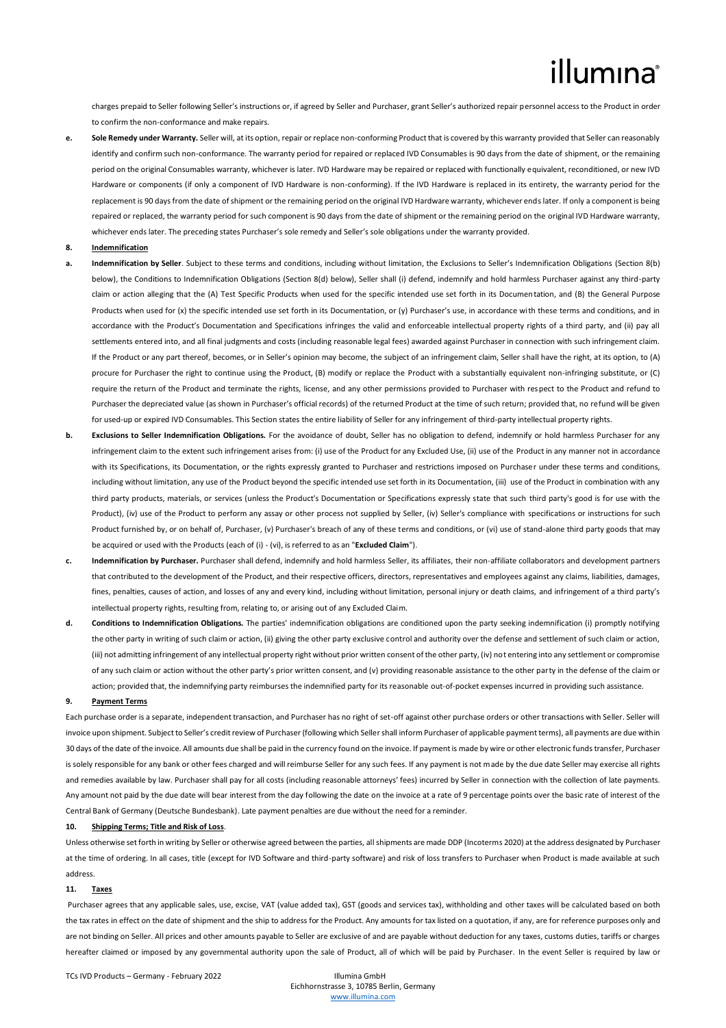# illumina®

charges prepaid to Seller following Seller's instructions or, if agreed by Seller and Purchaser, grant Seller's authorized repair personnel access to the Product in order to confirm the non-conformance and make repairs.

**e. Sole Remedy under Warranty.** Seller will, at its option, repair or replace non-conforming Product that is covered by this warranty provided that Seller can reasonably identify and confirm such non-conformance. The warranty period for repaired or replaced IVD Consumables is 90 days from the date of shipment, or the remaining period on the original Consumables warranty, whichever is later. IVD Hardware may be repaired or replaced with functionally equivalent, reconditioned, or new IVD Hardware or components (if only a component of IVD Hardware is non-conforming). If the IVD Hardware is replaced in its entirety, the warranty period for the replacement is 90 days from the date of shipment or the remaining period on the original IVD Hardware warranty, whichever ends later. If only a component is being repaired or replaced, the warranty period for such component is 90 days from the date of shipment or the remaining period on the original IVD Hardware warranty, whichever ends later. The preceding states Purchaser's sole remedy and Seller's sole obligations under the warranty provided.

## **8. Indemnification**

- **a. Indemnification by Seller**. Subject to these terms and conditions, including without limitation, the Exclusions to Seller's Indemnification Obligations (Section 8(b) below), the Conditions to Indemnification Obligations (Section 8(d) below), Seller shall (i) defend, indemnify and hold harmless Purchaser against any third-party claim or action alleging that the (A) Test Specific Products when used for the specific intended use set forth in its Documentation, and (B) the General Purpose Products when used for (x) the specific intended use set forth in its Documentation, or (y) Purchaser's use, in accordance with these terms and conditions, and in accordance with the Product's Documentation and Specifications infringes the valid and enforceable intellectual property rights of a third party, and (ii) pay all settlements entered into, and all final judgments and costs (including reasonable legal fees) awarded against Purchaser in connection with such infringement claim. If the Product or any part thereof, becomes, or in Seller's opinion may become, the subject of an infringement claim, Seller shall have the right, at its option, to (A) procure for Purchaser the right to continue using the Product, (B) modify or replace the Product with a substantially equivalent non-infringing substitute, or (C) require the return of the Product and terminate the rights, license, and any other permissions provided to Purchaser with respect to the Product and refund to Purchaser the depreciated value (as shown in Purchaser's official records) of the returned Product at the time of such return; provided that, no refund will be given for used-up or expired IVD Consumables. This Section states the entire liability of Seller for any infringement of third-party intellectual property rights.
- **b. Exclusions to Seller Indemnification Obligations.** For the avoidance of doubt, Seller has no obligation to defend, indemnify or hold harmless Purchaser for any infringement claim to the extent such infringement arises from: (i) use of the Product for any Excluded Use, (ii) use of the Product in any manner not in accordance with its Specifications, its Documentation, or the rights expressly granted to Purchaser and restrictions imposed on Purchaser under these terms and conditions, including without limitation, any use of the Product beyond the specific intended use set forth in its Documentation, (iii) use of the Product in combination with any third party products, materials, or services (unless the Product's Documentation or Specifications expressly state that such third party's good is for use with the Product), (iv) use of the Product to perform any assay or other process not supplied by Seller, (iv) Seller's compliance with specifications or instructions for such Product furnished by, or on behalf of, Purchaser, (v) Purchaser's breach of any of these terms and conditions, or (vi) use of stand-alone third party goods that may be acquired or used with the Products (each of (i) - (vi), is referred to as an "**Excluded Claim**").
- **c. Indemnification by Purchaser.** Purchaser shall defend, indemnify and hold harmless Seller, its affiliates, their non-affiliate collaborators and development partners that contributed to the development of the Product, and their respective officers, directors, representatives and employees against any claims, liabilities, damages, fines, penalties, causes of action, and losses of any and every kind, including without limitation, personal injury or death claims, and infringement of a third party's intellectual property rights, resulting from, relating to, or arising out of any Excluded Claim.
- **d. Conditions to Indemnification Obligations.** The parties' indemnification obligations are conditioned upon the party seeking indemnification (i) promptly notifying the other party in writing of such claim or action, (ii) giving the other party exclusive control and authority over the defense and settlement of such claim or action, (iii) not admitting infringement of any intellectual property right without prior written consent of the other party, (iv) not entering into any settlement or compromise of any such claim or action without the other party's prior written consent, and (v) providing reasonable assistance to the other party in the defense of the claim or action; provided that, the indemnifying party reimburses the indemnified party for its reasonable out-of-pocket expenses incurred in providing such assistance.

## **9. Payment Terms**

Each purchase order is a separate, independent transaction, and Purchaser has no right of set-off against other purchase orders or other transactions with Seller. Seller will invoice upon shipment. Subject to Seller's credit review of Purchaser (following which Seller shall inform Purchaser of applicable payment terms), all payments are due within 30 days of the date of the invoice. All amounts due shall be paid in the currency found on the invoice. If payment is made by wire or other electronic funds transfer, Purchaser is solely responsible for any bank or other fees charged and will reimburse Seller for any such fees. If any payment is not made by the due date Seller may exercise all rights and remedies available by law. Purchaser shall pay for all costs (including reasonable attorneys' fees) incurred by Seller in connection with the collection of late payments. Any amount not paid by the due date will bear interest from the day following the date on the invoice at a rate of 9 percentage points over the basic rate of interest of the Central Bank of Germany (Deutsche Bundesbank). Late payment penalties are due without the need for a reminder.

### **10. Shipping Terms; Title and Risk of Loss**.

Unless otherwise set forth in writing by Seller or otherwise agreed between the parties, all shipments are made DDP (Incoterms 2020) at the address designated by Purchaser at the time of ordering. In all cases, title (except for IVD Software and third-party software) and risk of loss transfers to Purchaser when Product is made available at such address.

### **11. Taxes**

Purchaser agrees that any applicable sales, use, excise, VAT (value added tax), GST (goods and services tax), withholding and other taxes will be calculated based on both the tax rates in effect on the date of shipment and the ship to address for the Product. Any amounts for tax listed on a quotation, if any, are for reference purposes only and are not binding on Seller. All prices and other amounts payable to Seller are exclusive of and are payable without deduction for any taxes, customs duties, tariffs or charges hereafter claimed or imposed by any governmental authority upon the sale of Product, all of which will be paid by Purchaser. In the event Seller is required by law or

TCs IVD Products – Germany - February 2022 Illumina GmbH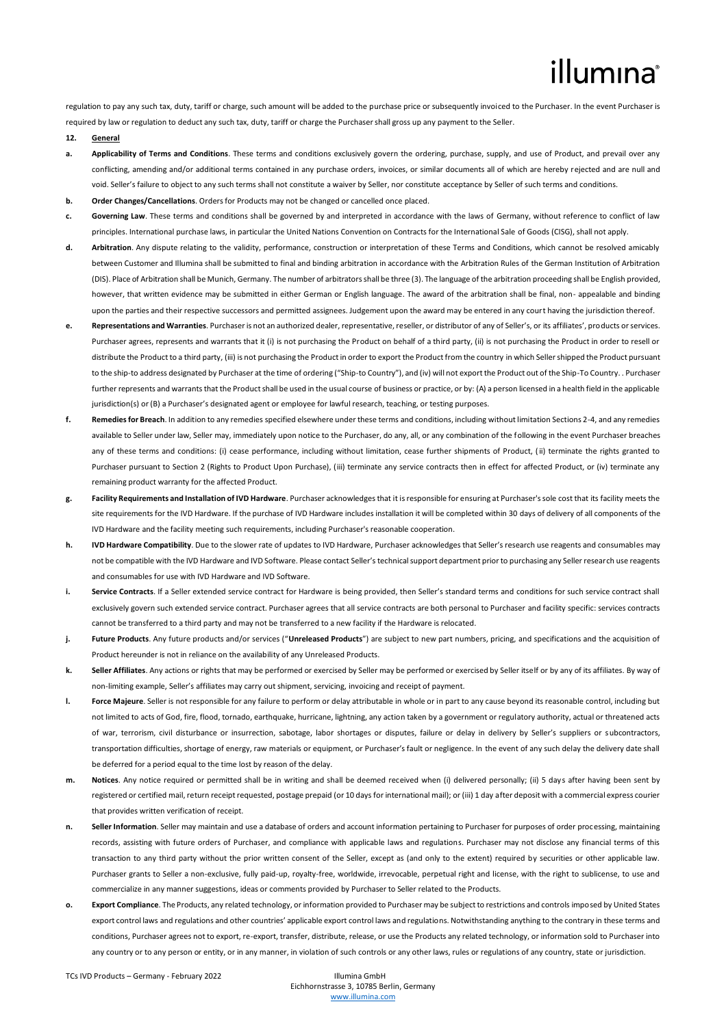# illumina®

regulation to pay any such tax, duty, tariff or charge, such amount will be added to the purchase price or subsequently invoiced to the Purchaser. In the event Purchaser is required by law or regulation to deduct any such tax, duty, tariff or charge the Purchaser shall gross up any payment to the Seller.

- **12. General**
- **a. Applicability of Terms and Conditions**. These terms and conditions exclusively govern the ordering, purchase, supply, and use of Product, and prevail over any conflicting, amending and/or additional terms contained in any purchase orders, invoices, or similar documents all of which are hereby rejected and are null and void. Seller's failure to object to any such terms shall not constitute a waiver by Seller, nor constitute acceptance by Seller of such terms and conditions.
- **b. Order Changes/Cancellations**. Orders for Products may not be changed or cancelled once placed.
- **c. Governing Law**. These terms and conditions shall be governed by and interpreted in accordance with the laws of Germany, without reference to conflict of law principles. International purchase laws, in particular the United Nations Convention on Contracts for the International Sale of Goods (CISG), shall not apply.
- **d. Arbitration**. Any dispute relating to the validity, performance, construction or interpretation of these Terms and Conditions, which cannot be resolved amicably between Customer and Illumina shall be submitted to final and binding arbitration in accordance with the Arbitration Rules of the German Institution of Arbitration (DIS). Place of Arbitration shall be Munich, Germany. The number of arbitrators shall be three (3). The language of the arbitration proceeding shall be English provided, however, that written evidence may be submitted in either German or English language. The award of the arbitration shall be final, non- appealable and binding upon the parties and their respective successors and permitted assignees. Judgement upon the award may be entered in any court having the jurisdiction thereof.
- **e. Representations and Warranties**. Purchaser is not an authorized dealer, representative, reseller, or distributor of any of Seller's, or its affiliates', products or services. Purchaser agrees, represents and warrants that it (i) is not purchasing the Product on behalf of a third party, (ii) is not purchasing the Product in order to resell or distribute the Product to a third party, (iii) is not purchasing the Product in order to export the Product from the country in which Seller shipped the Product pursuant to the ship-to address designated by Purchaser at the time of ordering ("Ship-to Country"), and (iv) will not export the Product out of the Ship-To Country. . Purchaser further represents and warrants that the Product shall be used in the usual course of business or practice, or by: (A) a person licensed in a health field in the applicable jurisdiction(s) or (B) a Purchaser's designated agent or employee for lawful research, teaching, or testing purposes.
- **f. Remedies for Breach**. In addition to any remedies specified elsewhere under these terms and conditions, including without limitation Sections 2-4, and any remedies available to Seller under law, Seller may, immediately upon notice to the Purchaser, do any, all, or any combination of the following in the event Purchaser breaches any of these terms and conditions: (i) cease performance, including without limitation, cease further shipments of Product, (ii) terminate the rights granted to Purchaser pursuant to Section 2 (Rights to Product Upon Purchase), (iii) terminate any service contracts then in effect for affected Product, or (iv) terminate any remaining product warranty for the affected Product.
- **g. Facility Requirements and Installation of IVD Hardware**. Purchaser acknowledges that it is responsible for ensuring at Purchaser's sole cost that its facility meets the site requirements for the IVD Hardware. If the purchase of IVD Hardware includes installation it will be completed within 30 days of delivery of all components of the IVD Hardware and the facility meeting such requirements, including Purchaser's reasonable cooperation.
- **h. IVD Hardware Compatibility**. Due to the slower rate of updates to IVD Hardware, Purchaser acknowledges that Seller's research use reagents and consumables may not be compatible with the IVD Hardware and IVD Software. Please contact Seller's technical support department prior to purchasing any Seller research use reagents and consumables for use with IVD Hardware and IVD Software.
- **i.** Service Contracts. If a Seller extended service contract for Hardware is being provided, then Seller's standard terms and conditions for such service contract shall exclusively govern such extended service contract. Purchaser agrees that all service contracts are both personal to Purchaser and facility specific: services contracts cannot be transferred to a third party and may not be transferred to a new facility if the Hardware is relocated.
- **j. Future Products**. Any future products and/or services ("**Unreleased Products**") are subject to new part numbers, pricing, and specifications and the acquisition of Product hereunder is not in reliance on the availability of any Unreleased Products.
- **k. Seller Affiliates**. Any actions or rights that may be performed or exercised by Seller may be performed or exercised by Seller itself or by any of its affiliates. By way of non-limiting example, Seller's affiliates may carry out shipment, servicing, invoicing and receipt of payment.
- **l. Force Majeure**. Seller is not responsible for any failure to perform or delay attributable in whole or in part to any cause beyond its reasonable control, including but not limited to acts of God, fire, flood, tornado, earthquake, hurricane, lightning, any action taken by a government or regulatory authority, actual or threatened acts of war, terrorism, civil disturbance or insurrection, sabotage, labor shortages or disputes, failure or delay in delivery by Seller's suppliers or subcontractors, transportation difficulties, shortage of energy, raw materials or equipment, or Purchaser's fault or negligence. In the event of any such delay the delivery date shall be deferred for a period equal to the time lost by reason of the delay.
- **m. Notices**. Any notice required or permitted shall be in writing and shall be deemed received when (i) delivered personally; (ii) 5 day s after having been sent by registered or certified mail, return receipt requested, postage prepaid (or 10 days for international mail); or (iii) 1 day after deposit with a commercial express courier that provides written verification of receipt.
- **n. Seller Information**. Seller may maintain and use a database of orders and account information pertaining to Purchaser for purposes of order processing, maintaining records, assisting with future orders of Purchaser, and compliance with applicable laws and regulations. Purchaser may not disclose any financial terms of this transaction to any third party without the prior written consent of the Seller, except as (and only to the extent) required by securities or other applicable law. Purchaser grants to Seller a non-exclusive, fully paid-up, royalty-free, worldwide, irrevocable, perpetual right and license, with the right to sublicense, to use and commercialize in any manner suggestions, ideas or comments provided by Purchaser to Seller related to the Products.
- **o. Export Compliance**. The Products, any related technology, or information provided to Purchaser may be subject to restrictions and controls imposed by United States export control laws and regulations and other countries' applicable export control laws and regulations. Notwithstanding anything to the contrary in these terms and conditions, Purchaser agrees not to export, re-export, transfer, distribute, release, or use the Products any related technology, or information sold to Purchaser into any country or to any person or entity, or in any manner, in violation of such controls or any other laws, rules or regulations of any country, state or jurisdiction.